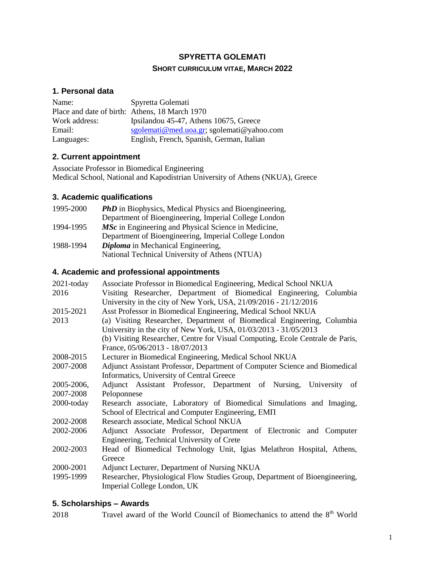# **SPYRETTA GOLEMATI SHORT CURRICULUM VITAE, MARCH 2022**

### **1. Personal data**

| Name:         | Spyretta Golemati                              |
|---------------|------------------------------------------------|
|               | Place and date of birth: Athens, 18 March 1970 |
| Work address: | Ipsilandou 45-47, Athens 10675, Greece         |
| Email:        | sgolemati@med.uoa.gr; sgolemati@yahoo.com      |
| Languages:    | English, French, Spanish, German, Italian      |

## **2. Current appointment**

Associate Professor in Biomedical Engineering Medical School, National and Kapodistrian University of Athens (NKUA), Greece

# **3. Academic qualifications**

| 1995-2000 | <b>PhD</b> in Biophysics, Medical Physics and Bioengineering, |
|-----------|---------------------------------------------------------------|
|           | Department of Bioengineering, Imperial College London         |
| 1994-1995 | <i>MSc</i> in Engineering and Physical Science in Medicine,   |
|           | Department of Bioengineering, Imperial College London         |
| 1988-1994 | <b>Diploma</b> in Mechanical Engineering,                     |
|           | National Technical University of Athens (NTUA)                |

# **4. Academic and professional appointments**

| $2021$ -today | Associate Professor in Biomedical Engineering, Medical School NKUA             |
|---------------|--------------------------------------------------------------------------------|
| 2016          | Visiting Researcher, Department of Biomedical Engineering, Columbia            |
|               | University in the city of New York, USA, 21/09/2016 - 21/12/2016               |
| 2015-2021     | Asst Professor in Biomedical Engineering, Medical School NKUA                  |
| 2013          | (a) Visiting Researcher, Department of Biomedical Engineering, Columbia        |
|               | University in the city of New York, USA, 01/03/2013 - 31/05/2013               |
|               | (b) Visiting Researcher, Centre for Visual Computing, Ecole Centrale de Paris, |
|               | France, 05/06/2013 - 18/07/2013                                                |
| 2008-2015     | Lecturer in Biomedical Engineering, Medical School NKUA                        |
| 2007-2008     | Adjunct Assistant Professor, Department of Computer Science and Biomedical     |
|               | Informatics, University of Central Greece                                      |
| 2005-2006,    | Adjunct Assistant Professor, Department of Nursing, University of              |
| 2007-2008     | Peloponnese                                                                    |
| 2000-today    | Research associate, Laboratory of Biomedical Simulations and Imaging,          |
|               | School of Electrical and Computer Engineering, EMIT                            |
| 2002-2008     | Research associate, Medical School NKUA                                        |
| 2002-2006     | Adjunct Associate Professor, Department of Electronic and Computer             |
|               | Engineering, Technical University of Crete                                     |
| 2002-2003     | Head of Biomedical Technology Unit, Igias Melathron Hospital, Athens,          |
|               | Greece                                                                         |
| 2000-2001     | Adjunct Lecturer, Department of Nursing NKUA                                   |
| 1995-1999     | Researcher, Physiological Flow Studies Group, Department of Bioengineering,    |
|               | Imperial College London, UK                                                    |

#### **5. Scholarships – Awards**

2018 Travel award of the World Council of Biomechanics to attend the  $8<sup>th</sup>$  World